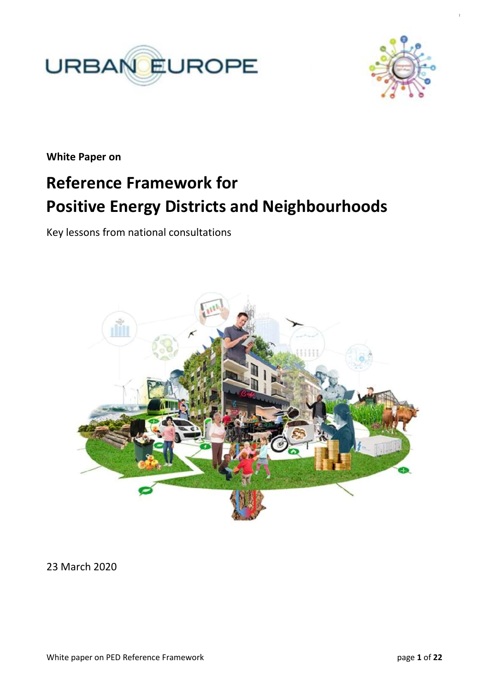



**White Paper on**

# **Reference Framework for Positive Energy Districts and Neighbourhoods**

Key lessons from national consultations



23 March 2020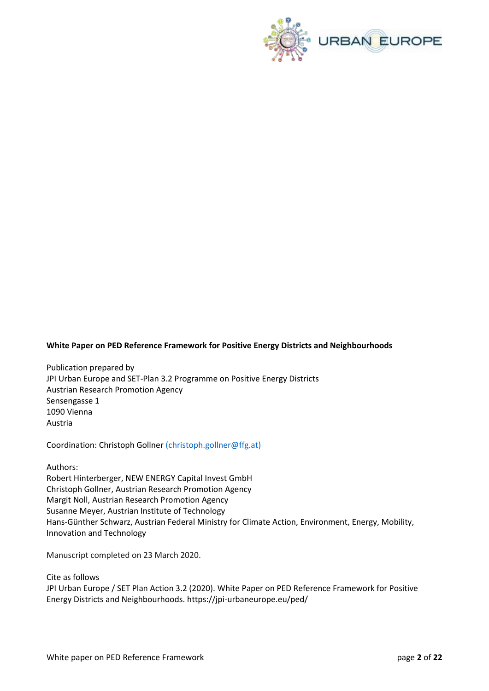

#### **White Paper on PED Reference Framework for Positive Energy Districts and Neighbourhoods**

Publication prepared by JPI Urban Europe and SET-Plan 3.2 Programme on Positive Energy Districts Austrian Research Promotion Agency Sensengasse 1 1090 Vienna Austria

Coordination: Christoph Gollner (christoph.gollner@ffg.at)

Authors:

Robert Hinterberger, NEW ENERGY Capital Invest GmbH Christoph Gollner, Austrian Research Promotion Agency Margit Noll, Austrian Research Promotion Agency Susanne Meyer, Austrian Institute of Technology Hans-Günther Schwarz, Austrian Federal Ministry for Climate Action, Environment, Energy, Mobility, Innovation and Technology

Manuscript completed on 23 March 2020.

Cite as follows JPI Urban Europe / SET Plan Action 3.2 (2020). White Paper on PED Reference Framework for Positive Energy Districts and Neighbourhoods. https://jpi-urbaneurope.eu/ped/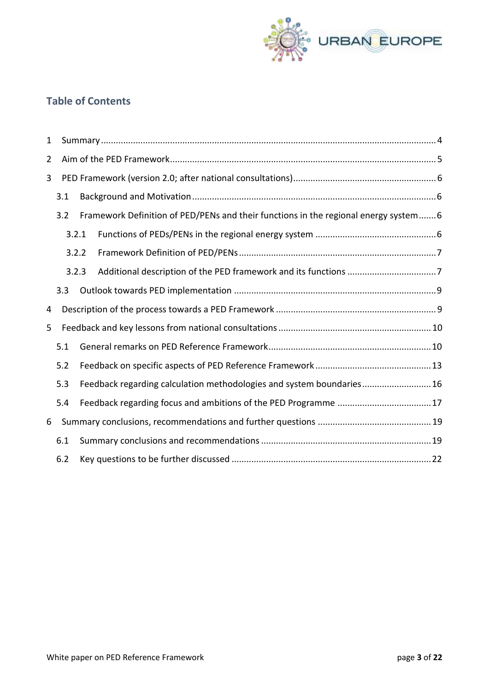

# **Table of Contents**

| 1              |     |                                                                      |                                                                                      |  |
|----------------|-----|----------------------------------------------------------------------|--------------------------------------------------------------------------------------|--|
| $\overline{2}$ |     |                                                                      |                                                                                      |  |
| 3              |     |                                                                      |                                                                                      |  |
|                | 3.1 |                                                                      |                                                                                      |  |
|                | 3.2 |                                                                      | Framework Definition of PED/PENs and their functions in the regional energy system 6 |  |
|                |     | 3.2.1                                                                |                                                                                      |  |
|                |     | 3.2.2                                                                |                                                                                      |  |
|                |     | 3.2.3                                                                |                                                                                      |  |
|                | 3.3 |                                                                      |                                                                                      |  |
| 4              |     |                                                                      |                                                                                      |  |
| 5              |     |                                                                      |                                                                                      |  |
|                | 5.1 |                                                                      |                                                                                      |  |
|                | 5.2 |                                                                      |                                                                                      |  |
|                | 5.3 | Feedback regarding calculation methodologies and system boundaries16 |                                                                                      |  |
|                | 5.4 |                                                                      |                                                                                      |  |
| 6              |     |                                                                      |                                                                                      |  |
|                | 6.1 |                                                                      |                                                                                      |  |
|                | 6.2 |                                                                      |                                                                                      |  |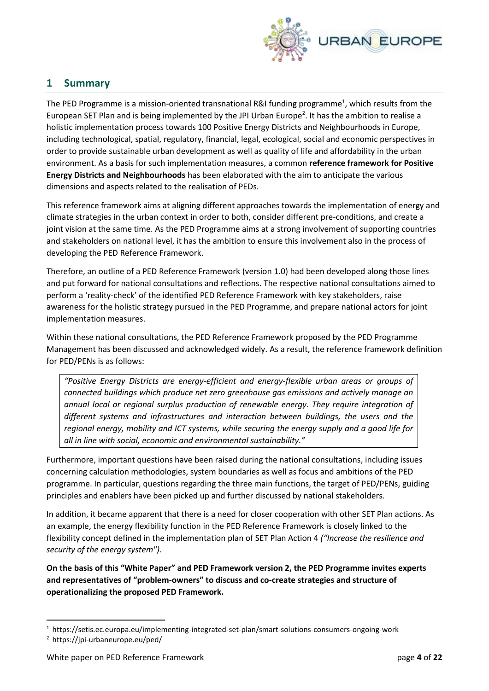

# **1 Summary**

The PED Programme is a mission-oriented transnational R&I funding programme<sup>1</sup>, which results from the European SET Plan and is being implemented by the JPI Urban Europe<sup>2</sup>. It has the ambition to realise a holistic implementation process towards 100 Positive Energy Districts and Neighbourhoods in Europe, including technological, spatial, regulatory, financial, legal, ecological, social and economic perspectives in order to provide sustainable urban development as well as quality of life and affordability in the urban environment. As a basis for such implementation measures, a common **reference framework for Positive Energy Districts and Neighbourhoods** has been elaborated with the aim to anticipate the various dimensions and aspects related to the realisation of PEDs.

This reference framework aims at aligning different approaches towards the implementation of energy and climate strategies in the urban context in order to both, consider different pre-conditions, and create a joint vision at the same time. As the PED Programme aims at a strong involvement of supporting countries and stakeholders on national level, it has the ambition to ensure this involvement also in the process of developing the PED Reference Framework.

Therefore, an outline of a PED Reference Framework (version 1.0) had been developed along those lines and put forward for national consultations and reflections. The respective national consultations aimed to perform a 'reality-check' of the identified PED Reference Framework with key stakeholders, raise awareness for the holistic strategy pursued in the PED Programme, and prepare national actors for joint implementation measures.

Within these national consultations, the PED Reference Framework proposed by the PED Programme Management has been discussed and acknowledged widely. As a result, the reference framework definition for PED/PENs is as follows:

*"Positive Energy Districts are energy-efficient and energy-flexible urban areas or groups of connected buildings which produce net zero greenhouse gas emissions and actively manage an annual local or regional surplus production of renewable energy. They require integration of different systems and infrastructures and interaction between buildings, the users and the regional energy, mobility and ICT systems, while securing the energy supply and a good life for all in line with social, economic and environmental sustainability."* 

Furthermore, important questions have been raised during the national consultations, including issues concerning calculation methodologies, system boundaries as well as focus and ambitions of the PED programme. In particular, questions regarding the three main functions, the target of PED/PENs, guiding principles and enablers have been picked up and further discussed by national stakeholders.

In addition, it became apparent that there is a need for closer cooperation with other SET Plan actions. As an example, the energy flexibility function in the PED Reference Framework is closely linked to the flexibility concept defined in the implementation plan of SET Plan Action 4 *("Increase the resilience and security of the energy system")*.

**On the basis of this "White Paper" and PED Framework version 2, the PED Programme invites experts and representatives of "problem-owners" to discuss and co-create strategies and structure of operationalizing the proposed PED Framework.**

1

<sup>1</sup> https://setis.ec.europa.eu/implementing-integrated-set-plan/smart-solutions-consumers-ongoing-work

<sup>2</sup> https://jpi-urbaneurope.eu/ped/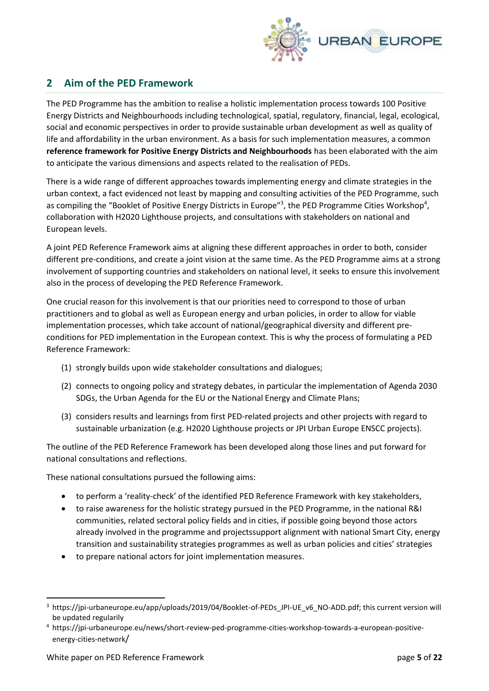

# **2 Aim of the PED Framework**

The PED Programme has the ambition to realise a holistic implementation process towards 100 Positive Energy Districts and Neighbourhoods including technological, spatial, regulatory, financial, legal, ecological, social and economic perspectives in order to provide sustainable urban development as well as quality of life and affordability in the urban environment. As a basis for such implementation measures, a common **reference framework for Positive Energy Districts and Neighbourhoods** has been elaborated with the aim to anticipate the various dimensions and aspects related to the realisation of PEDs.

There is a wide range of different approaches towards implementing energy and climate strategies in the urban context, a fact evidenced not least by mapping and consulting activities of the PED Programme, such as compiling the "Booklet of Positive Energy Districts in Europe"<sup>3</sup>, the PED Programme Cities Workshop<sup>4</sup>, collaboration with H2020 Lighthouse projects, and consultations with stakeholders on national and European levels.

A joint PED Reference Framework aims at aligning these different approaches in order to both, consider different pre-conditions, and create a joint vision at the same time. As the PED Programme aims at a strong involvement of supporting countries and stakeholders on national level, it seeks to ensure this involvement also in the process of developing the PED Reference Framework.

One crucial reason for this involvement is that our priorities need to correspond to those of urban practitioners and to global as well as European energy and urban policies, in order to allow for viable implementation processes, which take account of national/geographical diversity and different preconditions for PED implementation in the European context. This is why the process of formulating a PED Reference Framework:

- (1) strongly builds upon wide stakeholder consultations and dialogues;
- (2) connects to ongoing policy and strategy debates, in particular the implementation of Agenda 2030 SDGs, the Urban Agenda for the EU or the National Energy and Climate Plans;
- (3) considers results and learnings from first PED-related projects and other projects with regard to sustainable urbanization (e.g. H2020 Lighthouse projects or JPI Urban Europe ENSCC projects).

The outline of the PED Reference Framework has been developed along those lines and put forward for national consultations and reflections.

These national consultations pursued the following aims:

- to perform a 'reality-check' of the identified PED Reference Framework with key stakeholders,
- to raise awareness for the holistic strategy pursued in the PED Programme, in the national R&I communities, related sectoral policy fields and in cities, if possible going beyond those actors already involved in the programme and projectssupport alignment with national Smart City, energy transition and sustainability strategies programmes as well as urban policies and cities' strategies
- to prepare national actors for joint implementation measures.

**.** 

<sup>&</sup>lt;sup>3</sup> https://jpi-urbaneurope.eu/app/uploads/2019/04/Booklet-of-PEDs\_JPI-UE\_v6\_NO-ADD.pdf; this current version will be updated regularily

<sup>4</sup> https://jpi-urbaneurope.eu/news/short-review-ped-programme-cities-workshop-towards-a-european-positiveenergy-cities-network/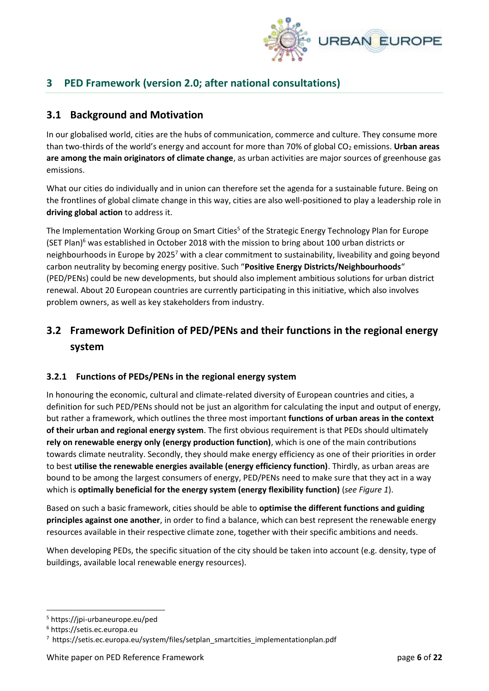

# **3 PED Framework (version 2.0; after national consultations)**

# **3.1 Background and Motivation**

In our globalised world, cities are the hubs of communication, commerce and culture. They consume more than two-thirds of the world's energy and account for more than 70% of global CO<sub>2</sub> emissions. **Urban areas are among the main originators of climate change**, as urban activities are major sources of greenhouse gas emissions.

What our cities do individually and in union can therefore set the agenda for a sustainable future. Being on the frontlines of global climate change in this way, cities are also well-positioned to play a leadership role in **driving global action** to address it.

The Implementation Working Group on Smart Cities<sup>5</sup> of the Strategic Energy Technology Plan for Europe (SET Plan)<sup>6</sup> was established in October 2018 with the mission to bring about 100 urban districts or neighbourhoods in Europe by 2025<sup>7</sup> with a clear commitment to sustainability, liveability and going beyond carbon neutrality by becoming energy positive. Such "**Positive Energy Districts/Neighbourhoods**" (PED/PENs) could be new developments, but should also implement ambitious solutions for urban district renewal. About 20 European countries are currently participating in this initiative, which also involves problem owners, as well as key stakeholders from industry.

# **3.2 Framework Definition of PED/PENs and their functions in the regional energy system**

#### **3.2.1 Functions of PEDs/PENs in the regional energy system**

In honouring the economic, cultural and climate-related diversity of European countries and cities, a definition for such PED/PENs should not be just an algorithm for calculating the input and output of energy, but rather a framework, which outlines the three most important **functions of urban areas in the context of their urban and regional energy system**. The first obvious requirement is that PEDs should ultimately **rely on renewable energy only (energy production function)**, which is one of the main contributions towards climate neutrality. Secondly, they should make energy efficiency as one of their priorities in order to best **utilise the renewable energies available (energy efficiency function)**. Thirdly, as urban areas are bound to be among the largest consumers of energy, PED/PENs need to make sure that they act in a way which is **optimally beneficial for the energy system (energy flexibility function)** (*see Figure 1*).

Based on such a basic framework, cities should be able to **optimise the different functions and guiding principles against one another**, in order to find a balance, which can best represent the renewable energy resources available in their respective climate zone, together with their specific ambitions and needs.

When developing PEDs, the specific situation of the city should be taken into account (e.g. density, type of buildings, available local renewable energy resources).

**.** 

<sup>5</sup> https://jpi-urbaneurope.eu/ped

<sup>6</sup> https://setis.ec.europa.eu

<sup>&</sup>lt;sup>7</sup> https://setis.ec.europa.eu/system/files/setplan\_smartcities\_implementationplan.pdf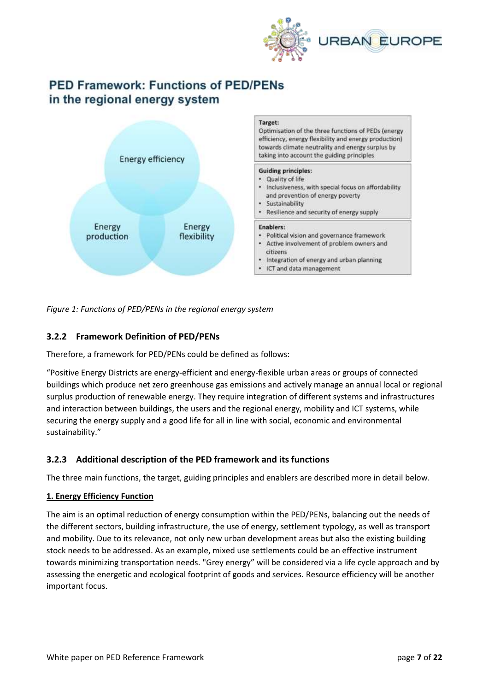

# **PED Framework: Functions of PED/PENs** in the regional energy system



*Figure 1: Functions of PED/PENs in the regional energy system* 

### **3.2.2 Framework Definition of PED/PENs**

Therefore, a framework for PED/PENs could be defined as follows:

"Positive Energy Districts are energy-efficient and energy-flexible urban areas or groups of connected buildings which produce net zero greenhouse gas emissions and actively manage an annual local or regional surplus production of renewable energy. They require integration of different systems and infrastructures and interaction between buildings, the users and the regional energy, mobility and ICT systems, while securing the energy supply and a good life for all in line with social, economic and environmental sustainability."

#### **3.2.3 Additional description of the PED framework and its functions**

The three main functions, the target, guiding principles and enablers are described more in detail below.

#### **1. Energy Efficiency Function**

The aim is an optimal reduction of energy consumption within the PED/PENs, balancing out the needs of the different sectors, building infrastructure, the use of energy, settlement typology, as well as transport and mobility. Due to its relevance, not only new urban development areas but also the existing building stock needs to be addressed. As an example, mixed use settlements could be an effective instrument towards minimizing transportation needs. "Grey energy" will be considered via a life cycle approach and by assessing the energetic and ecological footprint of goods and services. Resource efficiency will be another important focus.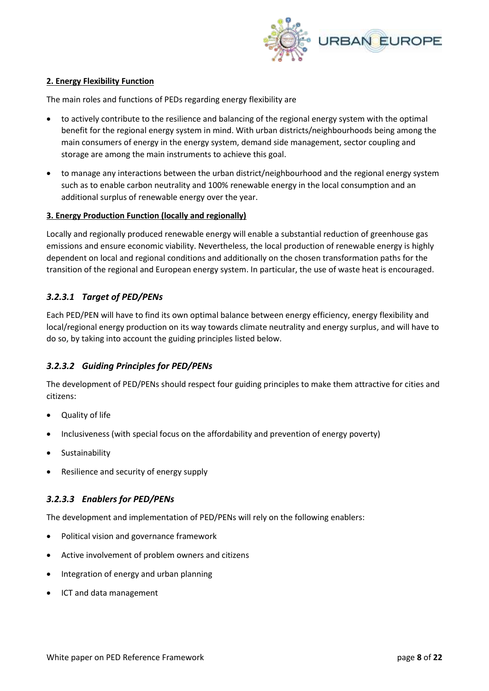

#### **2. Energy Flexibility Function**

The main roles and functions of PEDs regarding energy flexibility are

- to actively contribute to the resilience and balancing of the regional energy system with the optimal benefit for the regional energy system in mind. With urban districts/neighbourhoods being among the main consumers of energy in the energy system, demand side management, sector coupling and storage are among the main instruments to achieve this goal.
- to manage any interactions between the urban district/neighbourhood and the regional energy system such as to enable carbon neutrality and 100% renewable energy in the local consumption and an additional surplus of renewable energy over the year.

#### **3. Energy Production Function (locally and regionally)**

Locally and regionally produced renewable energy will enable a substantial reduction of greenhouse gas emissions and ensure economic viability. Nevertheless, the local production of renewable energy is highly dependent on local and regional conditions and additionally on the chosen transformation paths for the transition of the regional and European energy system. In particular, the use of waste heat is encouraged.

#### *3.2.3.1 Target of PED/PENs*

Each PED/PEN will have to find its own optimal balance between energy efficiency, energy flexibility and local/regional energy production on its way towards climate neutrality and energy surplus, and will have to do so, by taking into account the guiding principles listed below.

#### *3.2.3.2 Guiding Principles for PED/PENs*

The development of PED/PENs should respect four guiding principles to make them attractive for cities and citizens:

- Quality of life
- Inclusiveness (with special focus on the affordability and prevention of energy poverty)
- Sustainability
- Resilience and security of energy supply

#### *3.2.3.3 Enablers for PED/PENs*

The development and implementation of PED/PENs will rely on the following enablers:

- Political vision and governance framework
- Active involvement of problem owners and citizens
- Integration of energy and urban planning
- ICT and data management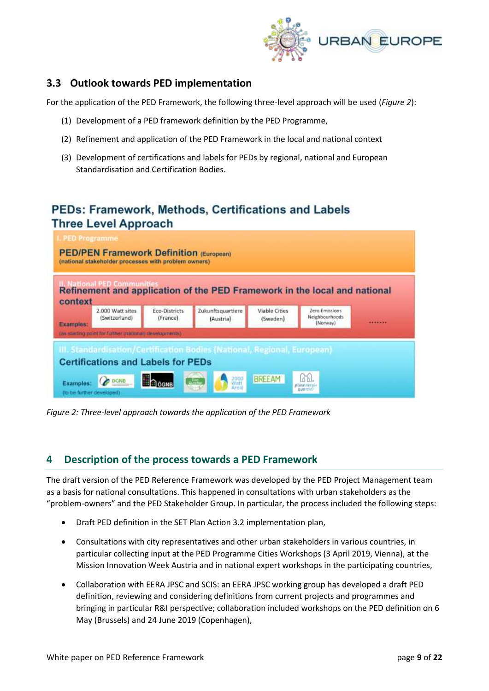

### **3.3 Outlook towards PED implementation**

For the application of the PED Framework, the following three-level approach will be used (*Figure 2*):

- (1) Development of a PED framework definition by the PED Programme,
- (2) Refinement and application of the PED Framework in the local and national context
- (3) Development of certifications and labels for PEDs by regional, national and European Standardisation and Certification Bodies.

# **PEDs: Framework, Methods, Certifications and Labels Three Level Approach**



*Figure 2: Three-level approach towards the application of the PED Framework* 

# **4 Description of the process towards a PED Framework**

The draft version of the PED Reference Framework was developed by the PED Project Management team as a basis for national consultations. This happened in consultations with urban stakeholders as the "problem-owners" and the PED Stakeholder Group. In particular, the process included the following steps:

- Draft PED definition in the SET Plan Action 3.2 implementation plan,
- Consultations with city representatives and other urban stakeholders in various countries, in particular collecting input at the PED Programme Cities Workshops (3 April 2019, Vienna), at the Mission Innovation Week Austria and in national expert workshops in the participating countries,
- Collaboration with EERA JPSC and SCIS: an EERA JPSC working group has developed a draft PED definition, reviewing and considering definitions from current projects and programmes and bringing in particular R&I perspective; collaboration included workshops on the PED definition on 6 May (Brussels) and 24 June 2019 (Copenhagen),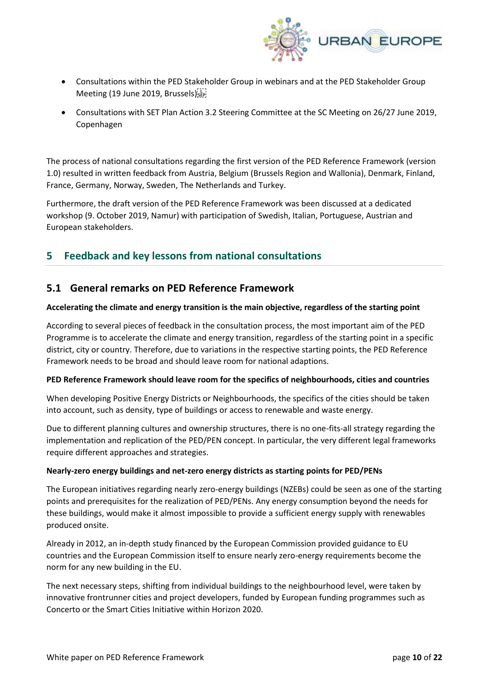

- Consultations within the PED Stakeholder Group in webinars and at the PED Stakeholder Group Meeting (19 June 2019, Brussels)
- Consultations with SET Plan Action 3.2 Steering Committee at the SC Meeting on 26/27 June 2019, Copenhagen

The process of national consultations regarding the first version of the PED Reference Framework (version 1.0) resulted in written feedback from Austria, Belgium (Brussels Region and Wallonia), Denmark, Finland, France, Germany, Norway, Sweden, The Netherlands and Turkey.

Furthermore, the draft version of the PED Reference Framework was been discussed at a dedicated workshop (9. October 2019, Namur) with participation of Swedish, Italian, Portuguese, Austrian and European stakeholders.

# **5 Feedback and key lessons from national consultations**

### **5.1 General remarks on PED Reference Framework**

#### **Accelerating the climate and energy transition is the main objective, regardless of the starting point**

According to several pieces of feedback in the consultation process, the most important aim of the PED Programme is to accelerate the climate and energy transition, regardless of the starting point in a specific district, city or country. Therefore, due to variations in the respective starting points, the PED Reference Framework needs to be broad and should leave room for national adaptions.

#### **PED Reference Framework should leave room for the specifics of neighbourhoods, cities and countries**

When developing Positive Energy Districts or Neighbourhoods, the specifics of the cities should be taken into account, such as density, type of buildings or access to renewable and waste energy.

Due to different planning cultures and ownership structures, there is no one-fits-all strategy regarding the implementation and replication of the PED/PEN concept. In particular, the very different legal frameworks require different approaches and strategies.

#### **Nearly-zero energy buildings and net-zero energy districts as starting points for PED/PENs**

The European initiatives regarding nearly zero-energy buildings (NZEBs) could be seen as one of the starting points and prerequisites for the realization of PED/PENs. Any energy consumption beyond the needs for these buildings, would make it almost impossible to provide a sufficient energy supply with renewables produced onsite.

Already in 2012, an in-depth study financed by the European Commission provided guidance to EU countries and the European Commission itself to ensure nearly zero-energy requirements become the norm for any new building in the EU.

The next necessary steps, shifting from individual buildings to the neighbourhood level, were taken by innovative frontrunner cities and project developers, funded by European funding programmes such as Concerto or the Smart Cities Initiative within Horizon 2020.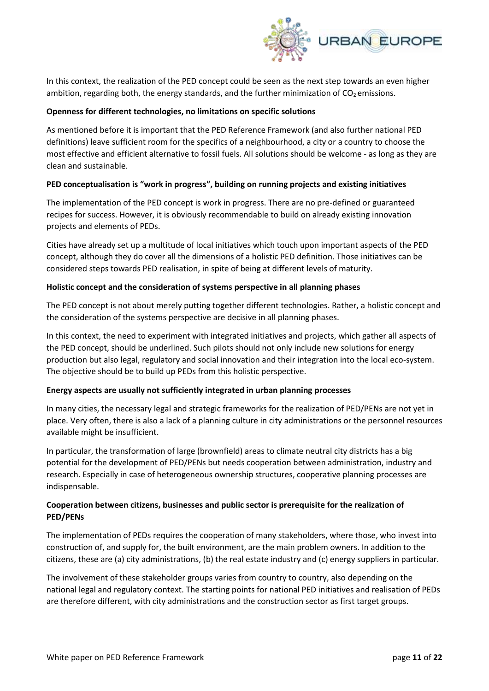

In this context, the realization of the PED concept could be seen as the next step towards an even higher ambition, regarding both, the energy standards, and the further minimization of  $CO<sub>2</sub>$  emissions.

#### **Openness for different technologies, no limitations on specific solutions**

As mentioned before it is important that the PED Reference Framework (and also further national PED definitions) leave sufficient room for the specifics of a neighbourhood, a city or a country to choose the most effective and efficient alternative to fossil fuels. All solutions should be welcome - as long as they are clean and sustainable.

#### **PED conceptualisation is "work in progress", building on running projects and existing initiatives**

The implementation of the PED concept is work in progress. There are no pre-defined or guaranteed recipes for success. However, it is obviously recommendable to build on already existing innovation projects and elements of PEDs.

Cities have already set up a multitude of local initiatives which touch upon important aspects of the PED concept, although they do cover all the dimensions of a holistic PED definition. Those initiatives can be considered steps towards PED realisation, in spite of being at different levels of maturity.

#### **Holistic concept and the consideration of systems perspective in all planning phases**

The PED concept is not about merely putting together different technologies. Rather, a holistic concept and the consideration of the systems perspective are decisive in all planning phases.

In this context, the need to experiment with integrated initiatives and projects, which gather all aspects of the PED concept, should be underlined. Such pilots should not only include new solutions for energy production but also legal, regulatory and social innovation and their integration into the local eco-system. The objective should be to build up PEDs from this holistic perspective.

#### **Energy aspects are usually not sufficiently integrated in urban planning processes**

In many cities, the necessary legal and strategic frameworks for the realization of PED/PENs are not yet in place. Very often, there is also a lack of a planning culture in city administrations or the personnel resources available might be insufficient.

In particular, the transformation of large (brownfield) areas to climate neutral city districts has a big potential for the development of PED/PENs but needs cooperation between administration, industry and research. Especially in case of heterogeneous ownership structures, cooperative planning processes are indispensable.

#### **Cooperation between citizens, businesses and public sector is prerequisite for the realization of PED/PENs**

The implementation of PEDs requires the cooperation of many stakeholders, where those, who invest into construction of, and supply for, the built environment, are the main problem owners. In addition to the citizens, these are (a) city administrations, (b) the real estate industry and (c) energy suppliers in particular.

The involvement of these stakeholder groups varies from country to country, also depending on the national legal and regulatory context. The starting points for national PED initiatives and realisation of PEDs are therefore different, with city administrations and the construction sector as first target groups.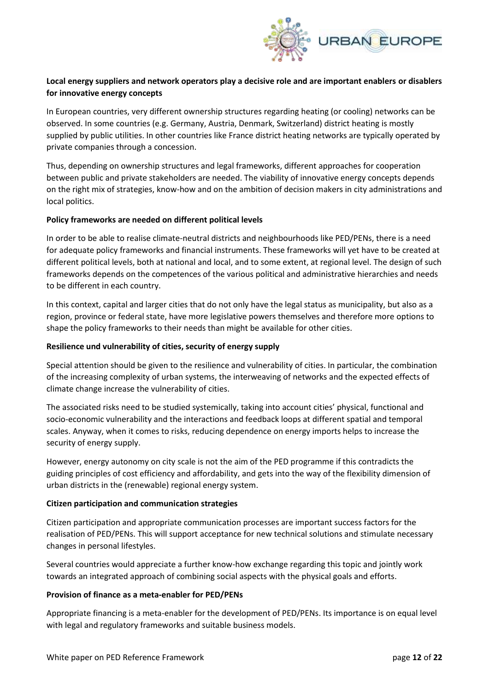

#### **Local energy suppliers and network operators play a decisive role and are important enablers or disablers for innovative energy concepts**

In European countries, very different ownership structures regarding heating (or cooling) networks can be observed. In some countries (e.g. Germany, Austria, Denmark, Switzerland) district heating is mostly supplied by public utilities. In other countries like France district heating networks are typically operated by private companies through a concession.

Thus, depending on ownership structures and legal frameworks, different approaches for cooperation between public and private stakeholders are needed. The viability of innovative energy concepts depends on the right mix of strategies, know-how and on the ambition of decision makers in city administrations and local politics.

#### **Policy frameworks are needed on different political levels**

In order to be able to realise climate-neutral districts and neighbourhoods like PED/PENs, there is a need for adequate policy frameworks and financial instruments. These frameworks will yet have to be created at different political levels, both at national and local, and to some extent, at regional level. The design of such frameworks depends on the competences of the various political and administrative hierarchies and needs to be different in each country.

In this context, capital and larger cities that do not only have the legal status as municipality, but also as a region, province or federal state, have more legislative powers themselves and therefore more options to shape the policy frameworks to their needs than might be available for other cities.

#### **Resilience und vulnerability of cities, security of energy supply**

Special attention should be given to the resilience and vulnerability of cities. In particular, the combination of the increasing complexity of urban systems, the interweaving of networks and the expected effects of climate change increase the vulnerability of cities.

The associated risks need to be studied systemically, taking into account cities' physical, functional and socio-economic vulnerability and the interactions and feedback loops at different spatial and temporal scales. Anyway, when it comes to risks, reducing dependence on energy imports helps to increase the security of energy supply.

However, energy autonomy on city scale is not the aim of the PED programme if this contradicts the guiding principles of cost efficiency and affordability, and gets into the way of the flexibility dimension of urban districts in the (renewable) regional energy system.

#### **Citizen participation and communication strategies**

Citizen participation and appropriate communication processes are important success factors for the realisation of PED/PENs. This will support acceptance for new technical solutions and stimulate necessary changes in personal lifestyles.

Several countries would appreciate a further know-how exchange regarding this topic and jointly work towards an integrated approach of combining social aspects with the physical goals and efforts.

#### **Provision of finance as a meta-enabler for PED/PENs**

Appropriate financing is a meta-enabler for the development of PED/PENs. Its importance is on equal level with legal and regulatory frameworks and suitable business models.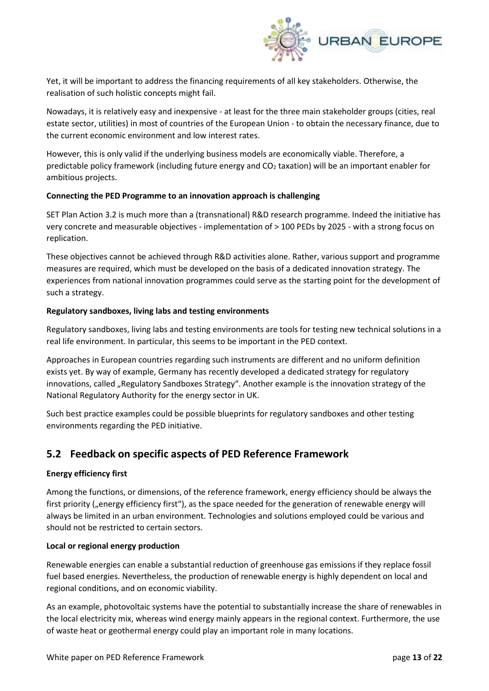

Yet, it will be important to address the financing requirements of all key stakeholders. Otherwise, the realisation of such holistic concepts might fail.

Nowadays, it is relatively easy and inexpensive - at least for the three main stakeholder groups (cities, real estate sector, utilities) in most of countries of the European Union - to obtain the necessary finance, due to the current economic environment and low interest rates.

However, this is only valid if the underlying business models are economically viable. Therefore, a predictable policy framework (including future energy and  $CO<sub>2</sub>$  taxation) will be an important enabler for ambitious projects.

#### **Connecting the PED Programme to an innovation approach is challenging**

SET Plan Action 3.2 is much more than a (transnational) R&D research programme. Indeed the initiative has very concrete and measurable objectives - implementation of > 100 PEDs by 2025 - with a strong focus on replication.

These objectives cannot be achieved through R&D activities alone. Rather, various support and programme measures are required, which must be developed on the basis of a dedicated innovation strategy. The experiences from national innovation programmes could serve as the starting point for the development of such a strategy.

#### **Regulatory sandboxes, living labs and testing environments**

Regulatory sandboxes, living labs and testing environments are tools for testing new technical solutions in a real life environment. In particular, this seems to be important in the PED context.

Approaches in European countries regarding such instruments are different and no uniform definition exists yet. By way of example, Germany has recently developed a dedicated strategy for regulatory innovations, called "Regulatory Sandboxes Strategy". Another example is the innovation strategy of the National Regulatory Authority for the energy sector in UK.

Such best practice examples could be possible blueprints for regulatory sandboxes and other testing environments regarding the PED initiative.

# **5.2 Feedback on specific aspects of PED Reference Framework**

#### **Energy efficiency first**

Among the functions, or dimensions, of the reference framework, energy efficiency should be always the first priority ("energy efficiency first"), as the space needed for the generation of renewable energy will always be limited in an urban environment. Technologies and solutions employed could be various and should not be restricted to certain sectors.

#### **Local or regional energy production**

Renewable energies can enable a substantial reduction of greenhouse gas emissions if they replace fossil fuel based energies. Nevertheless, the production of renewable energy is highly dependent on local and regional conditions, and on economic viability.

As an example, photovoltaic systems have the potential to substantially increase the share of renewables in the local electricity mix, whereas wind energy mainly appears in the regional context. Furthermore, the use of waste heat or geothermal energy could play an important role in many locations.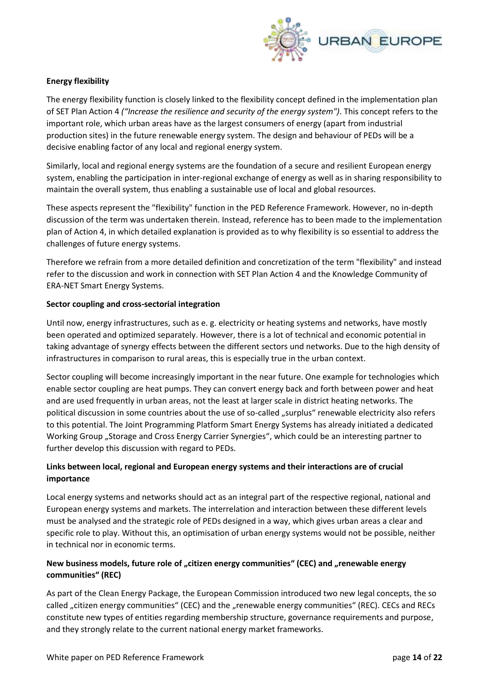

#### **Energy flexibility**

The energy flexibility function is closely linked to the flexibility concept defined in the implementation plan of SET Plan Action 4 *("Increase the resilience and security of the energy system")*. This concept refers to the important role, which urban areas have as the largest consumers of energy (apart from industrial production sites) in the future renewable energy system. The design and behaviour of PEDs will be a decisive enabling factor of any local and regional energy system.

Similarly, local and regional energy systems are the foundation of a secure and resilient European energy system, enabling the participation in inter-regional exchange of energy as well as in sharing responsibility to maintain the overall system, thus enabling a sustainable use of local and global resources.

These aspects represent the "flexibility" function in the PED Reference Framework. However, no in-depth discussion of the term was undertaken therein. Instead, reference has to been made to the implementation plan of Action 4, in which detailed explanation is provided as to why flexibility is so essential to address the challenges of future energy systems.

Therefore we refrain from a more detailed definition and concretization of the term "flexibility" and instead refer to the discussion and work in connection with SET Plan Action 4 and the Knowledge Community of ERA-NET Smart Energy Systems.

#### **Sector coupling and cross-sectorial integration**

Until now, energy infrastructures, such as e. g. electricity or heating systems and networks, have mostly been operated and optimized separately. However, there is a lot of technical and economic potential in taking advantage of synergy effects between the different sectors und networks. Due to the high density of infrastructures in comparison to rural areas, this is especially true in the urban context.

Sector coupling will become increasingly important in the near future. One example for technologies which enable sector coupling are heat pumps. They can convert energy back and forth between power and heat and are used frequently in urban areas, not the least at larger scale in district heating networks. The political discussion in some countries about the use of so-called "surplus" renewable electricity also refers to this potential. The Joint Programming Platform Smart Energy Systems has already initiated a dedicated Working Group "Storage and Cross Energy Carrier Synergies", which could be an interesting partner to further develop this discussion with regard to PEDs.

#### **Links between local, regional and European energy systems and their interactions are of crucial importance**

Local energy systems and networks should act as an integral part of the respective regional, national and European energy systems and markets. The interrelation and interaction between these different levels must be analysed and the strategic role of PEDs designed in a way, which gives urban areas a clear and specific role to play. Without this, an optimisation of urban energy systems would not be possible, neither in technical nor in economic terms.

#### New business models, future role of "citizen energy communities" (CEC) and "renewable energy **communities" (REC)**

As part of the Clean Energy Package, the European Commission introduced two new legal concepts, the so called "citizen energy communities" (CEC) and the "renewable energy communities" (REC). CECs and RECs constitute new types of entities regarding membership structure, governance requirements and purpose, and they strongly relate to the current national energy market frameworks.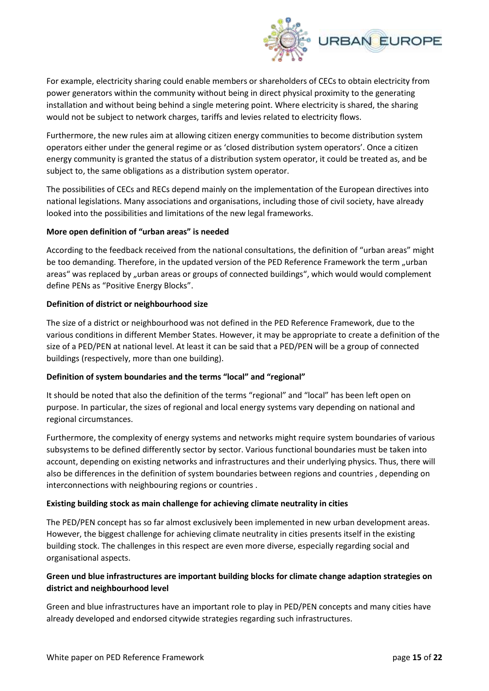

For example, electricity sharing could enable members or shareholders of CECs to obtain electricity from power generators within the community without being in direct physical proximity to the generating installation and without being behind a single metering point. Where electricity is shared, the sharing would not be subject to network charges, tariffs and levies related to electricity flows.

Furthermore, the new rules aim at allowing citizen energy communities to become distribution system operators either under the general regime or as 'closed distribution system operators'. Once a citizen energy community is granted the status of a distribution system operator, it could be treated as, and be subject to, the same obligations as a distribution system operator.

The possibilities of CECs and RECs depend mainly on the implementation of the European directives into national legislations. Many associations and organisations, including those of civil society, have already looked into the possibilities and limitations of the new legal frameworks.

#### **More open definition of "urban areas" is needed**

According to the feedback received from the national consultations, the definition of "urban areas" might be too demanding. Therefore, in the updated version of the PED Reference Framework the term "urban areas" was replaced by "urban areas or groups of connected buildings", which would would complement define PENs as "Positive Energy Blocks".

#### **Definition of district or neighbourhood size**

The size of a district or neighbourhood was not defined in the PED Reference Framework, due to the various conditions in different Member States. However, it may be appropriate to create a definition of the size of a PED/PEN at national level. At least it can be said that a PED/PEN will be a group of connected buildings (respectively, more than one building).

#### **Definition of system boundaries and the terms "local" and "regional"**

It should be noted that also the definition of the terms "regional" and "local" has been left open on purpose. In particular, the sizes of regional and local energy systems vary depending on national and regional circumstances.

Furthermore, the complexity of energy systems and networks might require system boundaries of various subsystems to be defined differently sector by sector. Various functional boundaries must be taken into account, depending on existing networks and infrastructures and their underlying physics. Thus, there will also be differences in the definition of system boundaries between regions and countries , depending on interconnections with neighbouring regions or countries .

#### **Existing building stock as main challenge for achieving climate neutrality in cities**

The PED/PEN concept has so far almost exclusively been implemented in new urban development areas. However, the biggest challenge for achieving climate neutrality in cities presents itself in the existing building stock. The challenges in this respect are even more diverse, especially regarding social and organisational aspects.

#### **Green und blue infrastructures are important building blocks for climate change adaption strategies on district and neighbourhood level**

Green and blue infrastructures have an important role to play in PED/PEN concepts and many cities have already developed and endorsed citywide strategies regarding such infrastructures.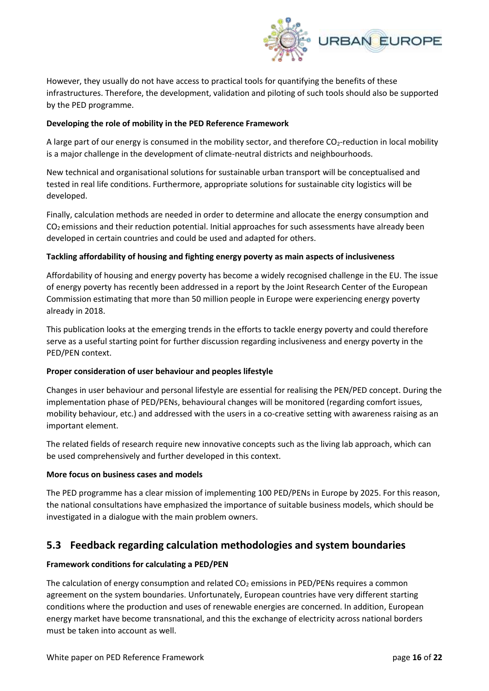

However, they usually do not have access to practical tools for quantifying the benefits of these infrastructures. Therefore, the development, validation and piloting of such tools should also be supported by the PED programme.

#### **Developing the role of mobility in the PED Reference Framework**

A large part of our energy is consumed in the mobility sector, and therefore CO<sub>2</sub>-reduction in local mobility is a major challenge in the development of climate-neutral districts and neighbourhoods.

New technical and organisational solutions for sustainable urban transport will be conceptualised and tested in real life conditions. Furthermore, appropriate solutions for sustainable city logistics will be developed.

Finally, calculation methods are needed in order to determine and allocate the energy consumption and  $CO<sub>2</sub>$  emissions and their reduction potential. Initial approaches for such assessments have already been developed in certain countries and could be used and adapted for others.

#### **Tackling affordability of housing and fighting energy poverty as main aspects of inclusiveness**

Affordability of housing and energy poverty has become a widely recognised challenge in the EU. The issue of energy poverty has recently been addressed in a report by the Joint Research Center of the European Commission estimating that more than 50 million people in Europe were experiencing energy poverty already in 2018.

This publication looks at the emerging trends in the efforts to tackle energy poverty and could therefore serve as a useful starting point for further discussion regarding inclusiveness and energy poverty in the PED/PEN context.

#### **Proper consideration of user behaviour and peoples lifestyle**

Changes in user behaviour and personal lifestyle are essential for realising the PEN/PED concept. During the implementation phase of PED/PENs, behavioural changes will be monitored (regarding comfort issues, mobility behaviour, etc.) and addressed with the users in a co-creative setting with awareness raising as an important element.

The related fields of research require new innovative concepts such as the living lab approach, which can be used comprehensively and further developed in this context.

#### **More focus on business cases and models**

The PED programme has a clear mission of implementing 100 PED/PENs in Europe by 2025. For this reason, the national consultations have emphasized the importance of suitable business models, which should be investigated in a dialogue with the main problem owners.

# **5.3 Feedback regarding calculation methodologies and system boundaries**

#### **Framework conditions for calculating a PED/PEN**

The calculation of energy consumption and related  $CO<sub>2</sub>$  emissions in PED/PENs requires a common agreement on the system boundaries. Unfortunately, European countries have very different starting conditions where the production and uses of renewable energies are concerned. In addition, European energy market have become transnational, and this the exchange of electricity across national borders must be taken into account as well.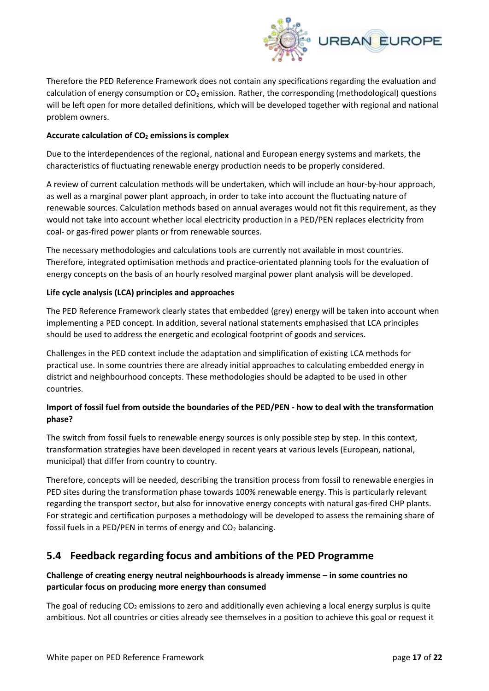

Therefore the PED Reference Framework does not contain any specifications regarding the evaluation and calculation of energy consumption or  $CO<sub>2</sub>$  emission. Rather, the corresponding (methodological) questions will be left open for more detailed definitions, which will be developed together with regional and national problem owners.

#### **Accurate calculation of CO<sup>2</sup> emissions is complex**

Due to the interdependences of the regional, national and European energy systems and markets, the characteristics of fluctuating renewable energy production needs to be properly considered.

A review of current calculation methods will be undertaken, which will include an hour-by-hour approach, as well as a marginal power plant approach, in order to take into account the fluctuating nature of renewable sources. Calculation methods based on annual averages would not fit this requirement, as they would not take into account whether local electricity production in a PED/PEN replaces electricity from coal- or gas-fired power plants or from renewable sources.

The necessary methodologies and calculations tools are currently not available in most countries. Therefore, integrated optimisation methods and practice-orientated planning tools for the evaluation of energy concepts on the basis of an hourly resolved marginal power plant analysis will be developed.

#### **Life cycle analysis (LCA) principles and approaches**

The PED Reference Framework clearly states that embedded (grey) energy will be taken into account when implementing a PED concept. In addition, several national statements emphasised that LCA principles should be used to address the energetic and ecological footprint of goods and services.

Challenges in the PED context include the adaptation and simplification of existing LCA methods for practical use. In some countries there are already initial approaches to calculating embedded energy in district and neighbourhood concepts. These methodologies should be adapted to be used in other countries.

#### **Import of fossil fuel from outside the boundaries of the PED/PEN - how to deal with the transformation phase?**

The switch from fossil fuels to renewable energy sources is only possible step by step. In this context, transformation strategies have been developed in recent years at various levels (European, national, municipal) that differ from country to country.

Therefore, concepts will be needed, describing the transition process from fossil to renewable energies in PED sites during the transformation phase towards 100% renewable energy. This is particularly relevant regarding the transport sector, but also for innovative energy concepts with natural gas-fired CHP plants. For strategic and certification purposes a methodology will be developed to assess the remaining share of fossil fuels in a PED/PEN in terms of energy and  $CO<sub>2</sub>$  balancing.

# **5.4 Feedback regarding focus and ambitions of the PED Programme**

#### **Challenge of creating energy neutral neighbourhoods is already immense – in some countries no particular focus on producing more energy than consumed**

The goal of reducing  $CO<sub>2</sub>$  emissions to zero and additionally even achieving a local energy surplus is quite ambitious. Not all countries or cities already see themselves in a position to achieve this goal or request it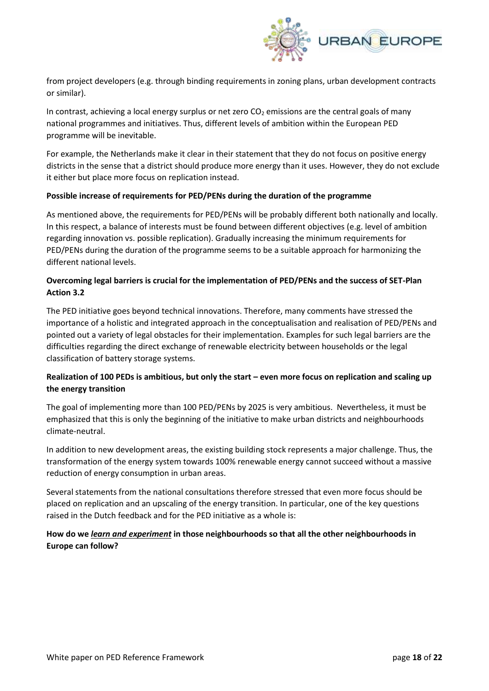

from project developers (e.g. through binding requirements in zoning plans, urban development contracts or similar).

In contrast, achieving a local energy surplus or net zero  $CO<sub>2</sub>$  emissions are the central goals of many national programmes and initiatives. Thus, different levels of ambition within the European PED programme will be inevitable.

For example, the Netherlands make it clear in their statement that they do not focus on positive energy districts in the sense that a district should produce more energy than it uses. However, they do not exclude it either but place more focus on replication instead.

#### **Possible increase of requirements for PED/PENs during the duration of the programme**

As mentioned above, the requirements for PED/PENs will be probably different both nationally and locally. In this respect, a balance of interests must be found between different objectives (e.g. level of ambition regarding innovation vs. possible replication). Gradually increasing the minimum requirements for PED/PENs during the duration of the programme seems to be a suitable approach for harmonizing the different national levels.

#### **Overcoming legal barriers is crucial for the implementation of PED/PENs and the success of SET-Plan Action 3.2**

The PED initiative goes beyond technical innovations. Therefore, many comments have stressed the importance of a holistic and integrated approach in the conceptualisation and realisation of PED/PENs and pointed out a variety of legal obstacles for their implementation. Examples for such legal barriers are the difficulties regarding the direct exchange of renewable electricity between households or the legal classification of battery storage systems.

#### **Realization of 100 PEDs is ambitious, but only the start – even more focus on replication and scaling up the energy transition**

The goal of implementing more than 100 PED/PENs by 2025 is very ambitious. Nevertheless, it must be emphasized that this is only the beginning of the initiative to make urban districts and neighbourhoods climate-neutral.

In addition to new development areas, the existing building stock represents a major challenge. Thus, the transformation of the energy system towards 100% renewable energy cannot succeed without a massive reduction of energy consumption in urban areas.

Several statements from the national consultations therefore stressed that even more focus should be placed on replication and an upscaling of the energy transition. In particular, one of the key questions raised in the Dutch feedback and for the PED initiative as a whole is:

#### **How do we** *learn and experiment* **in those neighbourhoods so that all the other neighbourhoods in Europe can follow?**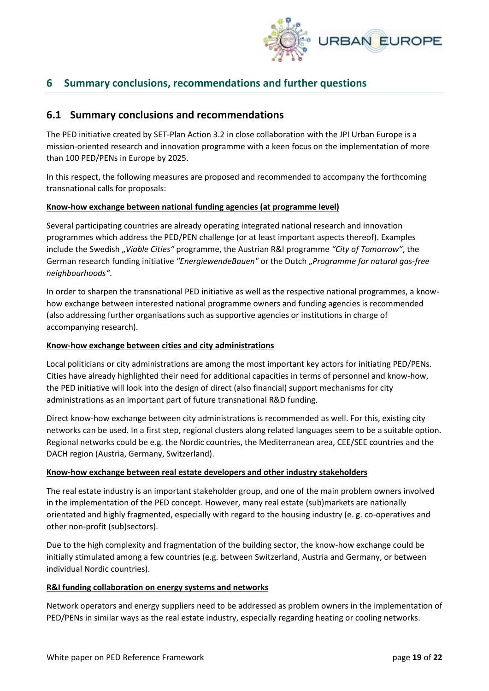

# **6 Summary conclusions, recommendations and further questions**

### **6.1 Summary conclusions and recommendations**

The PED initiative created by SET-Plan Action 3.2 in close collaboration with the JPI Urban Europe is a mission-oriented research and innovation programme with a keen focus on the implementation of more than 100 PED/PENs in Europe by 2025.

In this respect, the following measures are proposed and recommended to accompany the forthcoming transnational calls for proposals:

#### **Know-how exchange between national funding agencies (at programme level)**

Several participating countries are already operating integrated national research and innovation programmes which address the PED/PEN challenge (or at least important aspects thereof). Examples include the Swedish "*Viable Cities"* programme, the Austrian R&I programme *"City of Tomorrow"*, the German research funding initiative *"EnergiewendeBauen"* or the Dutch "*Programme for natural gas-free neighbourhoods"*.

In order to sharpen the transnational PED initiative as well as the respective national programmes, a knowhow exchange between interested national programme owners and funding agencies is recommended (also addressing further organisations such as supportive agencies or institutions in charge of accompanying research).

#### **Know-how exchange between cities and city administrations**

Local politicians or city administrations are among the most important key actors for initiating PED/PENs. Cities have already highlighted their need for additional capacities in terms of personnel and know-how, the PED initiative will look into the design of direct (also financial) support mechanisms for city administrations as an important part of future transnational R&D funding.

Direct know-how exchange between city administrations is recommended as well. For this, existing city networks can be used. In a first step, regional clusters along related languages seem to be a suitable option. Regional networks could be e.g. the Nordic countries, the Mediterranean area, CEE/SEE countries and the DACH region (Austria, Germany, Switzerland).

#### **Know-how exchange between real estate developers and other industry stakeholders**

The real estate industry is an important stakeholder group, and one of the main problem owners involved in the implementation of the PED concept. However, many real estate (sub)markets are nationally orientated and highly fragmented, especially with regard to the housing industry (e. g. co-operatives and other non-profit (sub)sectors).

Due to the high complexity and fragmentation of the building sector, the know-how exchange could be initially stimulated among a few countries (e.g. between Switzerland, Austria and Germany, or between individual Nordic countries).

#### **R&I funding collaboration on energy systems and networks**

Network operators and energy suppliers need to be addressed as problem owners in the implementation of PED/PENs in similar ways as the real estate industry, especially regarding heating or cooling networks.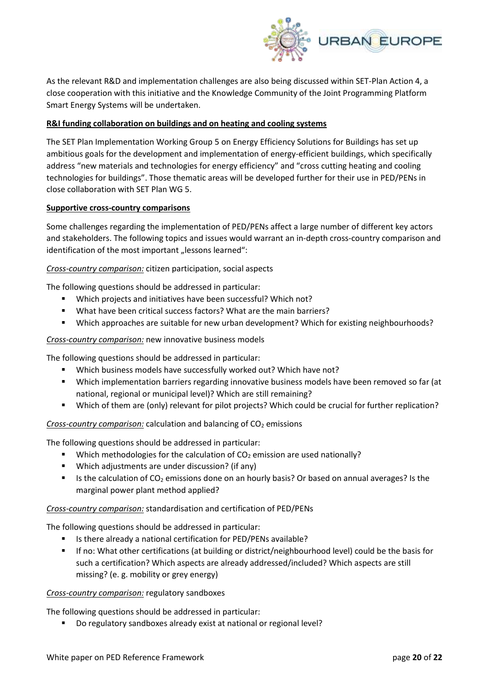

As the relevant R&D and implementation challenges are also being discussed within SET-Plan Action 4, a close cooperation with this initiative and the Knowledge Community of the Joint Programming Platform Smart Energy Systems will be undertaken.

#### **R&I funding collaboration on buildings and on heating and cooling systems**

The SET Plan Implementation Working Group 5 on Energy Efficiency Solutions for Buildings has set up ambitious goals for the development and implementation of energy-efficient buildings, which specifically address "new materials and technologies for energy efficiency" and "cross cutting heating and cooling technologies for buildings". Those thematic areas will be developed further for their use in PED/PENs in close collaboration with SET Plan WG 5.

#### **Supportive cross-country comparisons**

Some challenges regarding the implementation of PED/PENs affect a large number of different key actors and stakeholders. The following topics and issues would warrant an in-depth cross-country comparison and identification of the most important "lessons learned":

#### *Cross-country comparison:* citizen participation, social aspects

The following questions should be addressed in particular:

- Which projects and initiatives have been successful? Which not?
- What have been critical success factors? What are the main barriers?
- Which approaches are suitable for new urban development? Which for existing neighbourhoods?

#### *Cross-country comparison:* new innovative business models

The following questions should be addressed in particular:

- Which business models have successfully worked out? Which have not?
- Which implementation barriers regarding innovative business models have been removed so far (at national, regional or municipal level)? Which are still remaining?
- Which of them are (only) relevant for pilot projects? Which could be crucial for further replication?

**Cross-country comparison:** calculation and balancing of CO<sub>2</sub> emissions

The following questions should be addressed in particular:

- Which methodologies for the calculation of  $CO<sub>2</sub>$  emission are used nationally?
- Which adjustments are under discussion? (if any)
- Is the calculation of  $CO<sub>2</sub>$  emissions done on an hourly basis? Or based on annual averages? Is the marginal power plant method applied?

#### *Cross-country comparison:* standardisation and certification of PED/PENs

The following questions should be addressed in particular:

- Is there already a national certification for PED/PENs available?
- If no: What other certifications (at building or district/neighbourhood level) could be the basis for such a certification? Which aspects are already addressed/included? Which aspects are still missing? (e. g. mobility or grey energy)

#### *Cross-country comparison:* regulatory sandboxes

The following questions should be addressed in particular:

Do regulatory sandboxes already exist at national or regional level?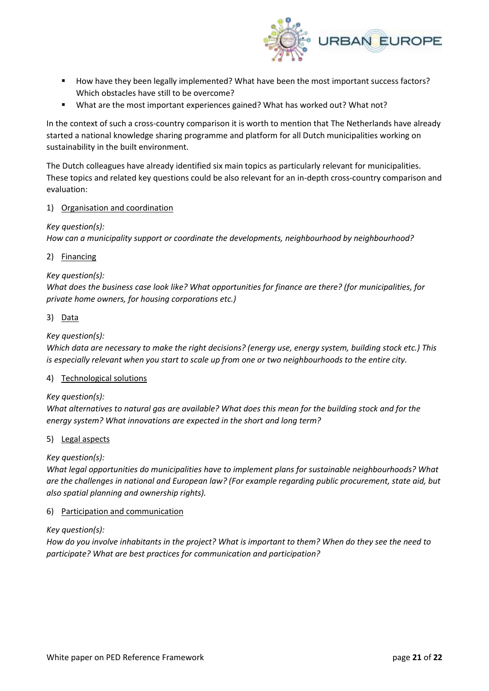

- How have they been legally implemented? What have been the most important success factors? Which obstacles have still to be overcome?
- What are the most important experiences gained? What has worked out? What not?

In the context of such a cross-country comparison it is worth to mention that The Netherlands have already started a national knowledge sharing programme and platform for all Dutch municipalities working on sustainability in the built environment.

The Dutch colleagues have already identified six main topics as particularly relevant for municipalities. These topics and related key questions could be also relevant for an in-depth cross-country comparison and evaluation:

#### 1) Organisation and coordination

#### *Key question(s):*

*How can a municipality support or coordinate the developments, neighbourhood by neighbourhood?*

2) Financing

#### *Key question(s):*

*What does the business case look like? What opportunities for finance are there? (for municipalities, for private home owners, for housing corporations etc.)*

3) Data

#### *Key question(s):*

*Which data are necessary to make the right decisions? (energy use, energy system, building stock etc.) This is especially relevant when you start to scale up from one or two neighbourhoods to the entire city.*

#### 4) Technological solutions

#### *Key question(s):*

*What alternatives to natural gas are available? What does this mean for the building stock and for the energy system? What innovations are expected in the short and long term?*

#### 5) Legal aspects

#### *Key question(s):*

*What legal opportunities do municipalities have to implement plans for sustainable neighbourhoods? What are the challenges in national and European law? (For example regarding public procurement, state aid, but also spatial planning and ownership rights).* 

#### 6) Participation and communication

#### *Key question(s):*

*How do you involve inhabitants in the project? What is important to them? When do they see the need to participate? What are best practices for communication and participation?*